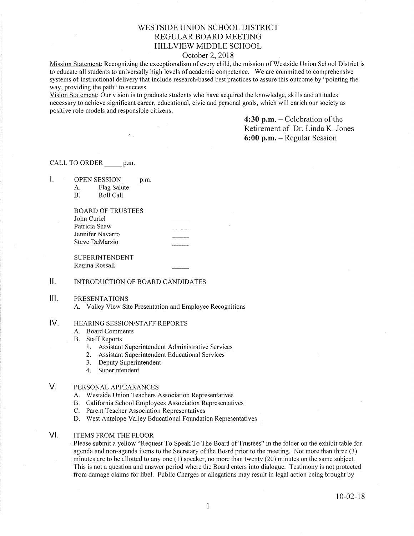# WESTSIDE UNION SCHOOL DISTRICT REGULAR BOARD MEETING HILLVIEW MIDDLE SCHOOL

## October 2, 2018

Mission Statement: Recognizing the exceptionalism of every child, the mission of Westside Union School District is to educate all students to universally high levels of academic competence. We are committed to comprehensive systems of instructional delivery that include research-based best practices to assure this outcome by "pointing the way, providing the path" to success.

Vision Statement: Our vision is to graduate students who have acquired the knowledge, skills and attitudes necessary to achieve significant career, educational, civic and personal goals, which will enrich our society as positive role models and responsible citizens.

> 4:30 p.m.  $-$  Celebration of the Retirement of Dr. Linda K. Jones 6:00 p.m. - Regular Session

CALL TO ORDER p.m.

 $\mathbf{L}$ OPEN SESSION p.m.

A. Flag Salute B. Roll Call

| BOARD OF TRUSTEES |          |
|-------------------|----------|
| John Curiel       |          |
| Patricia Shaw     |          |
| Jennifer Navarro  | ________ |
| Steve DeMarzio    |          |
|                   |          |

SUPERINTENDENT Regina Rossall

## ll. INTRODUCTION OF BOARD CANDIDATES

#### $III.$ PRESENTATIONS

A. Valley View Site Presentation and Employee Recognitions

### HEARING SESSION/STAFF REPORTS IV

- A. Board Comments
- **B.** Staff Reports
	- 1. Assistant Superintendent Administrative Services
	- 2. Assistant Superintendent Educational Services
	- 3. Deputy Superintendent
	- 4. Superintendent

### PERSONAL APPEARANCES  $V_{\cdot}$

- A. Westside Union Teachers Association Representatives
- B. California School Employees Association Representatives<br>C. Parent Teacher Association Representatives
- 
- D. West Antelope Valley Educational Foundation Representatives

### ITEMS FROM THE FLOOR VI

Please submit a yellow "Request To Speak To The Board of Trustees" in the folder on the exhibit table for agenda and non-agenda items to the Secretary of the Board prior to the meeting. Not more than three (3) minutes are to be allotted to any one (l) speaker, no more than twenty (20) minutes on the same subject. This is not a question and answer period where the Board enters into dialogue. Testimony is not protected from damage claims for libel. Public Charges or allegations may result in legal action being brought by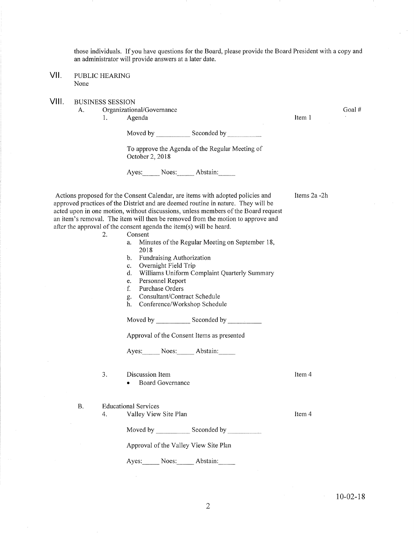those individuals. If you have questions for the Board, please provide the Board President with a copy and an administrator will provide answers at a later date.

- PUBLIC HEARING None vil
- VIII. BUSINESS SESSION
	- A. Organizational/Governance 1. Agenda

Itern I

Goal #

Moved by Seconded by Seconded by Seconded by Seconded by Seconded by Seconded by Seconded by Seconded by Seconded by Seconded by Seconded by Seconded by Seconded by Seconded by Seconded by Seconded by Seconded by Seconded

To approve the Agenda of the Regular Meeting of October 2,2018

Ayes: Noes: Abstain:

Items2a -2h

Item 4

Item 4

Actions proposed for the Consent Calendar, are items with adopted policies and approved practices of the District and are deemed routine in nature. They will be acted upon in one motion, without discussions, unless members of the Board request an item's removal. The item will then be removed from the motion to approve and after the approval of the consent agenda the item(s) will be heard.

- 2. Consent
	- a. Minutes of the Regular Meeting on September 18, 2018
	- b. Fundraising Authorization<br>c. Overnight Field Trip
	-
	- c. Overnight Field Trip<br>d. Williams Uniform Complaint Quarterly Summary<br>e. Personnel Report
	- e. Personnel Repor<br>f. Purchase Orders
	-
	-
	- C. Consultant/Contract Schedule h. Conference/Workshop Schedule

Moved by Seconded by

Approval of the Consent ltems as presented

Ayes: Noes: Abstain:

- 3. Discussion Item
	- . Board Governance

B. Educational Services

4. Valley View Site Plan

Moved by \_\_\_\_\_\_\_\_\_\_\_\_ Seconded by \_

Approval of the Valley View Site Plan

Ayes: Noes: Abstain: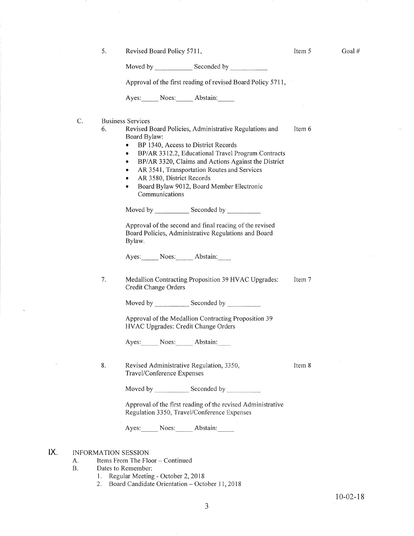5. Revised Board Policy 5711,

Item <sup>5</sup>

Moved by Seconded by Seconded by

Approval of the first reading of revised Board Policy 5711,

Ayes: Noes: Abstain:

C Business Services

- 6. Revised Board Policies, Administrative Regulations and Board Bylaw: Item 6
	- BP 1340, Access to District Records
	- BP/AR 3312.2, Educational Travel Program Contracts
	- . BP/AR 3320, Claims and Actions Against the District
	- AR 3541, Transportation Routes and Services
	- . AR 3580, District Records
	- . Board Bylaw 9012, Board Member Electronic Communications

Moved by \_\_\_\_\_\_\_\_\_\_\_\_ Seconded by \_

Approval of the second and final reading of the revised Board Policies, Administrative Regulations and Board Bylaw.

Ayes: Noes: Abstain:

Medallion Contracting Proposition 39 HVAC Upgrades Credit Change Orders Item 7 7.

Moved by Seconded by Seconded by

Approval of the Medallion Contracting Proposition <sup>39</sup> HVAC Upgrades: Credit Change Orders

Ayes: Noes: Abstain:

8. Revised Administrative Regulation, 3350, Travel/Conference Expenses

Item 8

Moved by \_\_\_\_\_\_\_\_\_\_\_\_ Seconded by \_

Approval of the first reading of the revised Administrative Regulation 3350, Travel/Conference Expenses

Ayes: Noes: Abstain:

#### INFORMATION SESSION  $IX.$

- A. Items From The Floor Continued
- B. Dates to Remember:
	- 1. Regular Meeting October 2,2018
	- 2. Board Candidate Orientation October 11, 2018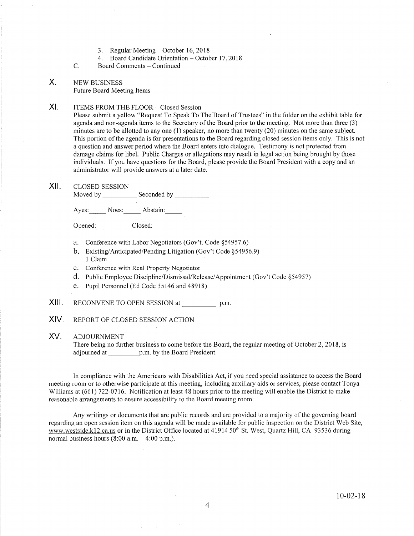- 
- 3. Regular Meeting October 16,2018 4. Board Candidate Orientation October 1'7,2018
- Board Comments Continued C.

### NEW BUSINESS X

Future Board Meeting Items

# XI. ITEMS FROM THE FLOOR - Closed Session

Please submit a yellow "Request To Speak To The Board of Trustees" in the folder on the exhibit table for agenda and non-agenda items to the Secretary of the Board prior to the meeting. Not more than three (3) minutes are to be allotted to any one  $(1)$  speaker, no more than twenty  $(20)$  minutes on the same subject. This portion of the agenda is for presentations to the Board regarding closed session items only. This is not a question and answer period where the Board enters into dialogue. Testimony is not protected from damage claims for libel. Public Charges or allegations may result in legal action being brought by those individuals. If you have questions for the Board, please provide the Board President with a copy and an administrator will provide answers at a later date.

## XII. CLOSED SESSION

Moved by Seconded by

Ayes: Noes: Abstain:

Opened: Closed:

- a. Conference with Labor Negotiators (Gov't. Code \$54957.6)
- b. Existing/Anticipated/Pending Litigation (Gov't Code §54956.9)<br>1 Claim
- c. Conference with Real Property Negotiator
- d. Public Employee Discipline/Dismissal/Release/Appointment (Gov't Code \$54957)
- e. Pupil Personnel (Ed Code 35146 and 48918)
- XIII. RECONVENE TO OPEN SESSION at p.m.
- XIV. REPORT OF CLOSED SESSION ACTION

#### ADJOURNMENT XV

There being no fufther business to come before the Board, the regular meeting of October 2,2018, is adjourned at \_\_\_\_\_\_\_\_\_\_\_\_ p.m. by the Board President.

In compliance with the Americans with Disabilities Act, if you need special assistance to access the Board meeting room or to otherwise participate at this meeting, including auxiliary aids or services, please contact Tonya Williams at (661) 722-0716. Notification at least 48 hours prior to the meeting will enable the District to make reasonable arrangements to ensure accessibility to the Board meeting room.

Any writings or documents that are public records and are provided to a majority of the governing board regarding an open session item on this agenda will be made available for public inspection on the District Web Site, www.westside.k12.ca.us or in the District Office located at 41914 50<sup>th</sup> St. West, Quartz Hill, CA 93536 during normal business hours  $(8:00 a.m. - 4:00 p.m.).$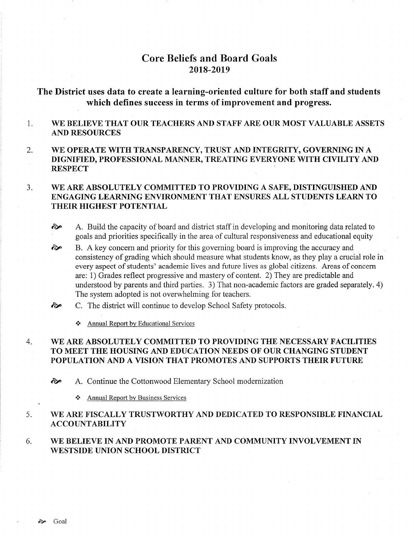# Core Beliefs and Board Goals 2018-20t9

# The District uses data to create a learning-oriented culture for both staff and students which defines success in terms of improvement and progress.

### 1 WE BELIEVE THAT OUR TEACHERS AND STAFF ARE OUR MOST VALUABLE ASSETS AND RESOURCES

2 WE OPERATE WITH TRANSPARENCY, TRUST AND INTEGRTTY, GOVERNING IN A DIGNIFIED, PROFESSIONAL MANNER, TREATING EVERYONE WITH CIVILITY AND **RESPECT** 

### WE ARE ABSOLUTELY COMMITTED TO PROVIDING A SAFE, DISTINGUISHED AND ENGAGING LEARNING ENVIRONMENT THAT BNSURES ALL STUDENTS LEARN TO THEIR HIGHEST POTENTIAL J

- èp A. Build the capacity of board and district staff in developing and monitoring data related to goals and priorities specifically in the area of cultural responsiveness and educational equity
- B. A key concem and priority for this governing board is improving the accuracy and consistency of grading which should measure what students know, as they play a crucial role in every aspect of students' academic lives and future lives as global citizens. Areas of concern are: 1) Grades reflect progressive and mastery of content. 2) They are predictable and understood by parents and third parties. 3) That non-academic factors are graded separately. 4) The system adopted is not overwhelming for teachers. ôp
- C. The district will continue to develop School Safety protocols.  $\hat{\mathbf{c}}$ 
	- \* Annual Report bv Educational Services

### WE ARE ABSOLUTELY COMMITTED TO PROVIDING THE NECESSARY FACILITIES TO MEET THE HOUSING AND EDUCATION NEEDS OF OUR CHANGING STUDENT POPULATION AND A VISION THAT PROMOTES AND SUPPORTS THEIR FUTURE 4

èp A. Continue the Cottonwood Elementary School modernization

❖ Annual Report by Business Services

### WE ARE FISCALLY TRUSTWORTHY AND DEDICATED TO RESPONSIBLE FINANCIAL **ACCOUNTABILITY** 5

### WE BELIEVE IN AND PROMOTE PARENT AND COMMUNITY INVOLVEMENT IN WESTSIDE UNION SCHOOL DISTRICT 6.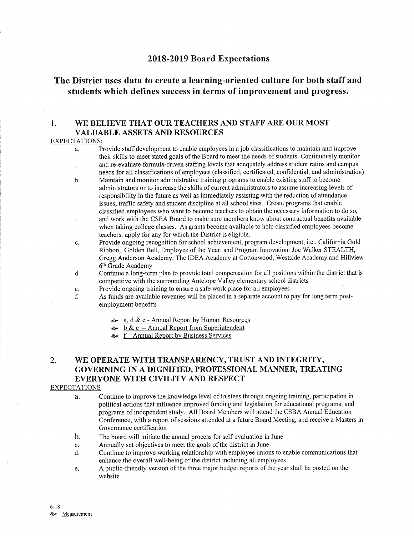# 2018-2019 Board Expectations

# The District uses data to create a learning-oriented culture for both staff and students which defines success in terms of improvement and progress.

# 1. WE BELIEVE THAT OUR TEACHERS AND STAFF ARE OUR MOST VALUABLE ASSETS AND RESOURCES

### EXPECTATIONS:

- a. Provide staff development to enable employees in a job classifications to maintain and improve their skills to meet stated goals of the Board to meet the needs of students. Continuously monitor and re-evaluate formula-driven staffing levels that adequately address student ratios and campus needs for all classifications of employees (classified, certificated, confidential, and administration)
- b. Maintain and monitor administrative training programs to enable existing staff to become administrators or to increase the skills of curent administrators to assume increasing levels of responsibility in the future as well as immediately assisting with the reduction of attendance issues, traffic safefy and student discipline at all school sites. Create programs that enable classified employees who want to become teachers to obtain the necessary information to do so, and work with the CSEA Board to make sure members know about contractual benefits available when taking college classes. As grants become available to help classified employees become teachers, apply for any for which the District is eligible.
- c. Provide ongoing recognition for school achievement, program development, i.e., Califomia Gold Ribbon, Golden Bell, Employee of the Year, and Program Innovation: Joe Walker STEALTH, Gregg Anderson Academy, The IDEA Academy at Cottonwood, Westside Academy and Hillview 6<sup>th</sup> Grade Academy
- d. Continue a long-term plan to provide total compensation for all positions within the district that is competitive with the surrounding Antelope Valley elementary school districts<br>Provide ongoing training to ensure a safe work place for all employees
- 
- e. Provide ongoing training to ensure a safe work place for all employees<br>f. As funds are available revenues will be placed in a separate account to pay for long term post-<br>employment benefits
	- $\approx$  a, d & e Annual Report by Human Resources
	- $\approx$  b & c Annual Report from Superintendent
	- $\sim$  f Annual Report by Business Services

# 2. WE OPERATE WITH TRANSPARENCY, TRUST AND INTEGRITY, GOVERNING IN A DIGNIFIED, PROFESSIONAL MANNER, TREATING EVERYONE WITH CIVILITY AND RESPECT

## EXPECTATIONS

- a. Continue to improve the knowledge level of trustees through ongoing training, participation in political actions that influence improved funding and legislation for educational programs, and programs of independent study. All Board Members will attend the CSBA Annual Education Conference, with a report of sessions attended at a future Board Meeting, and receive a Masters in Governance certification
- The board will initiate the annual process for self-evaluation in June b.
- Annually set objectives to meet the goals of the district in June c.
- Continue to improve working relationship with employee unions to enable communications that enhance the overall well-being of the district including all employees d.
- A public-friendly version of the three major budget reports of the year shall be posted on the  $e<sub>1</sub>$ website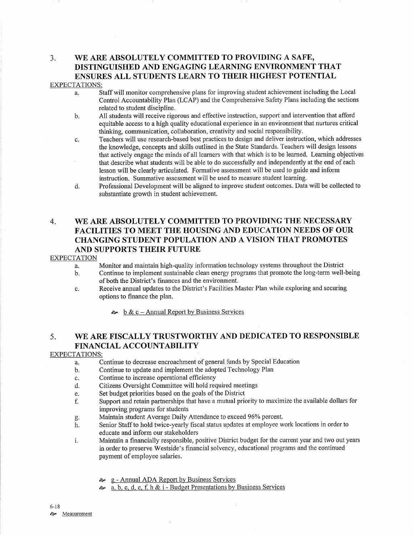# 3. WE ARE ABSOLUTELY COMMITTED TO PROVIDING A SAFE, DISTINGUISHED AND ENGAGING LEARNING ENVIRONMENT THAT ENSURES ALL STUDENTS LEARN TO THEIR HIGHEST POTENTIAL

## EXPECTATIONS:

- a. Staffwill monitor comprehensive plans for improving student achievement including the Local Control Accountability Plan (LCAP) and the Comprehensive Safety Plans including the sections related to student discipline.
- b. All students will receive rigorous and effective instruction, support and intervention that afford equitable access to a high quality educational experience in an environment that nurtures critical thinking, communication, collaboration, creativity and social responsibility.
- c. Teachers will use research-based best practices to design and deliver instruction, which addresses the knowledge, concepts and skills outlined in the State Standards. Teachers will design lessons that actively engage the minds of all leamers with that which is to be learned. Learning objectives that describe what students will be able to do successfully and independently at the end of each lesson will be clearly articulated. Formative assessment will be used to guide and inform instruction. Summative assessment will be used to measure student learning.
- d. Professional Development will be aligned to improve student outcomes. Data will be collected to substantiate growth in student achievement.

# 4. \ryE ARE ABSOLUTELY COMMITTED TO PROVIDING THE NECESSARY FACILITIES TO MEET THE HOUSING AND EDUCATION NEEDS OF OUR CHANGING STUDENT POPULATION AND A VISION THAT PROMOTES AND SUPPORTS THEIR FUTURE

### EXPECTATION

a. Monitor and maintain high-quality information technology systems throughout the District b. Continue to implement sustainable clean energy programs that promote the long-term well-being

- of both the District's finances and the environment.
- c. Receive annual updates to the District's Facilities Master Plan while exploring and securing options to finance the plan.

 $\approx$  b & c – Annual Report by Business Services

# 5. WE ARE FISCALLY TRUSTWORTHY AND DEDICATED TO RESPONSIBLE FINANCIAL ACCOUNTABILITY

## EXPECTATIONS:

- a. Continue to decrease encroachment of general funds by Special Education
- b. Continue to update and implement the adopted Technology Plan
- c. Continue to increase operational efficiency
- d. Citizens Oversight Committee will hold required meetings
- e. Set budget priorities based on the goals of the District
- f. Support and retain parbrerships that have a mutual priority to maximize the available dollars for
- improving programs for students<br>Maintain student Average Daily Attendance to exceed 96% percent.
- g. Maintain student Average Daily Attendance to exceed 96% percent.<br>h. Senior Staff to hold twice-yearly fiscal status updates at employee work locations in order to educate and inform our stakeholders
- i. Maintain a financially responsible, positive District budget for the current year and two out years in order to preserve Westside's financial solvency, educational programs and the continued payment of employee salaries.
	- è. g Annual ADA Report by Business Services
	- $\sim a, b, c, d, e, f, h \& i$  Budget Presentations by Business Services